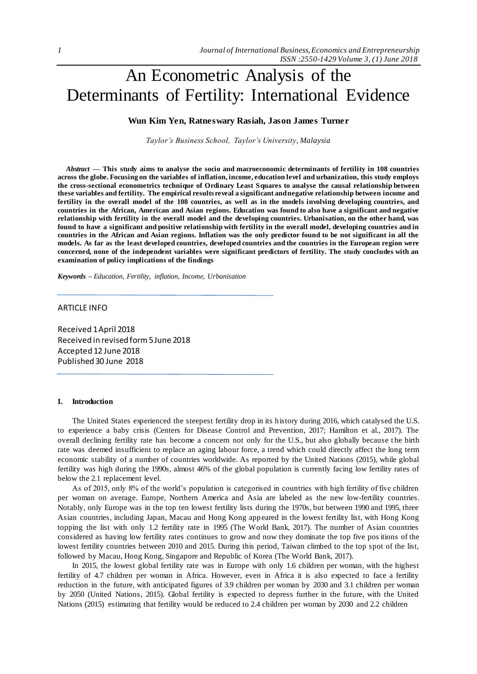# An Econometric Analysis of the Determinants of Fertility: International Evidence

**Wun Kim Yen, Ratneswary Rasiah, Jason James Turner**

*Taylor's Business School, Taylor's University, Malaysia*

*Abstract —* **This study aims to analyse the socio and macroeconomic determinants of fertility in 108 countries across the globe. Focusing on the variables of inflation, income, education level and urbanization, this study employs the cross-sectional econometrics technique of Ordinary Least Squares to analyse the causal relationship between these variables and fertility. The empirical results reveal a significant and negative relationship between income and fertility in the overall model of the 108 countries, as well as in the models involving developing countries, and countries in the African, American and Asian regions. Education was found to also have a significant and negative relationship with fertility in the overall model and the developing countries. Urbanisation, on the other hand, was found to have a significant and positive relationship with fertility in the overall model, developing countries and in countries in the African and Asian regions. Inflation was the only predictor found to be not significant in all the models. As far as the least developed countries, developed countries and the countries in the European region were concerned, none of the independent variables were significant predictors of fertility. The study concludes with an examination of policy implications of the findings**

*Keywords – Education, Fertility, inflation, Income, Urbanisation*

# ARTICLE INFO

Received 1 April 2018 Received in revised form 5 June 2018 Accepted 12 June 2018 Published 30 June 2018

### **I. Introduction**

The United States experienced the steepest fertility drop in its history during 2016, which catalysed the U.S. to experience a baby crisis (Centers for Disease Control and Prevention, 2017; Hamilton et al., 2017). The overall declining fertility rate has become a concern not only for the U.S., but also globally because the birth rate was deemed insufficient to replace an aging labour force, a trend which could directly affect the long term economic stability of a number of countries worldwide. As reported by the United Nations (2015), while global fertility was high during the 1990s, almost 46% of the global population is currently facing low fertility rates of below the 2.1 replacement level.

As of 2015, only 8% of the world's population is categorised in countries with high fertility of five children per woman on average. Europe, Northern America and Asia are labeled as the new low-fertility countries. Notably, only Europe was in the top ten lowest fertility lists during the 1970s, but between 1990 and 1995, three Asian countries, including Japan, Macau and Hong Kong appeared in the lowest fertility list, with Hong Kong topping the list with only 1.2 fertility rate in 1995 (The World Bank, 2017). The number of Asian countries considered as having low fertility rates continues to grow and now they dominate the top five pos itions of the lowest fertility countries between 2010 and 2015. During this period, Taiwan climbed to the top spot of the list, followed by Macau, Hong Kong, Singapore and Republic of Korea (The World Bank, 2017).

In 2015, the lowest global fertility rate was in Europe with only 1.6 children per woman, with the highest fertility of 4.7 children per woman in Africa. However, even in Africa it is also expected to face a fertility reduction in the future, with anticipated figures of 3.9 children per woman by 2030 and 3.1 children per woman by 2050 (United Nations, 2015). Global fertility is expected to depress further in the future, with the United Nations (2015) estimating that fertility would be reduced to 2.4 children per woman by 2030 and 2.2 children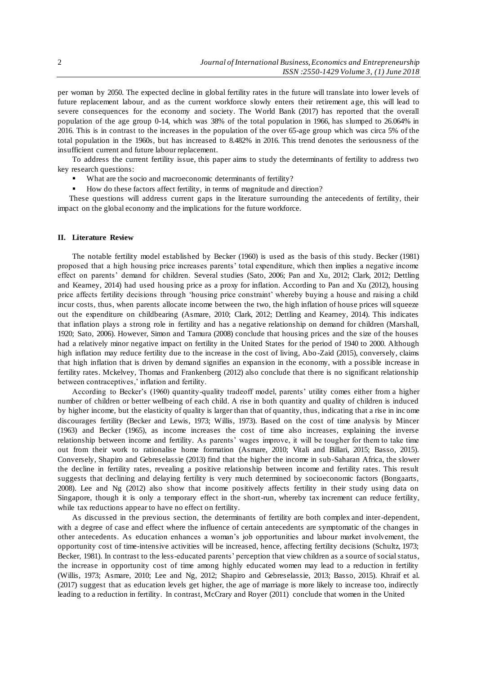per woman by 2050. The expected decline in global fertility rates in the future will translate into lower levels of future replacement labour, and as the current workforce slowly enters their retirement age, this will lead to severe consequences for the economy and society. The World Bank (2017) has reported that the overall population of the age group 0-14, which was 38% of the total population in 1966, has slumped to 26.064% in 2016. This is in contrast to the increases in the population of the over 65-age group which was circa 5% of the total population in the 1960s, but has increased to 8.482% in 2016. This trend denotes the seriousness of the insufficient current and future labour replacement.

To address the current fertility issue, this paper aims to study the determinants of fertility to address two key research questions:

- What are the socio and macroeconomic determinants of fertility?
- How do these factors affect fertility, in terms of magnitude and direction?

These questions will address current gaps in the literature surrounding the antecedents of fertility, their impact on the global economy and the implications for the future workforce.

#### **II. Literature Review**

The notable fertility model established by Becker (1960) is used as the basis of this study. Becker (1981) proposed that a high housing price increases parents' total expenditure, which then implies a negative income effect on parents' demand for children. Several studies (Sato, 2006; Pan and Xu, 2012; Clark, 2012; Dettling and Kearney, 2014) had used housing price as a proxy for inflation. According to Pan and Xu (2012), housing price affects fertility decisions through 'housing price constraint' whereby buying a house and raising a child incur costs, thus, when parents allocate income between the two, the high inflation of house prices will squeeze out the expenditure on childbearing (Asmare, 2010; Clark, 2012; Dettling and Kearney, 2014). This indicates that inflation plays a strong role in fertility and has a negative relationship on demand for children (Marshall, 1920; Sato, 2006). However, Simon and Tamura (2008) conclude that housing prices and the size of the houses had a relatively minor negative impact on fertility in the United States for the period of 1940 to 2000. Although high inflation may reduce fertility due to the increase in the cost of living, Abo -Zaid (2015), conversely, claims that high inflation that is driven by demand signifies an expansion in the economy, with a possible increase in fertility rates. Mckelvey, Thomas and Frankenberg (2012) also conclude that there is no significant relationship between contraceptives,' inflation and fertility.

According to Becker's (1960) quantity-quality tradeoff model, parents' utility comes either from a higher number of children or better wellbeing of each child. A rise in both quantity and quality of children is induced by higher income, but the elasticity of quality is larger than that of quantity, thus, indicating that a rise in inc ome discourages fertility (Becker and Lewis, 1973; Willis, 1973). Based on the cost of time analysis by Mincer (1963) and Becker (1965), as income increases the cost of time also increases, explaining the inverse relationship between income and fertility. As parents' wages improve, it will be tougher for them to take time out from their work to rationalise home formation (Asmare, 2010; Vitali and Billari, 2015; Basso, 2015). Conversely, Shapiro and Gebreselassie (2013) find that the higher the income in sub -Saharan Africa, the slower the decline in fertility rates, revealing a positive relationship between income and fertility rates. This result suggests that declining and delaying fertility is very much determined by socioeconomic factors (Bongaarts, 2008). Lee and Ng (2012) also show that income positively affects fertility in their study using data on Singapore, though it is only a temporary effect in the short-run, whereby tax increment can reduce fertility, while tax reductions appear to have no effect on fertility.

As discussed in the previous section, the determinants of fertility are both complex and inter-dependent, with a degree of case and effect where the influence of certain antecedents are symptomatic of the changes in other antecedents. As education enhances a woman's job opportunities and labour market involvement, the opportunity cost of time-intensive activities will be increased, hence, affecting fertility decisions (Schultz, 1973; Becker, 1981). In contrast to the less-educated parents' perception that view children as a source of social status, the increase in opportunity cost of time among highly educated women may lead to a reduction in fertility (Willis, 1973; Asmare, 2010; Lee and Ng, 2012; Shapiro and Gebreselassie, 2013; Basso, 2015). Khraif et al. (2017) suggest that as education levels get higher, the age of marriage is more likely to increase too, indirectly leading to a reduction in fertility. In contrast, McCrary and Royer (2011) conclude that women in the United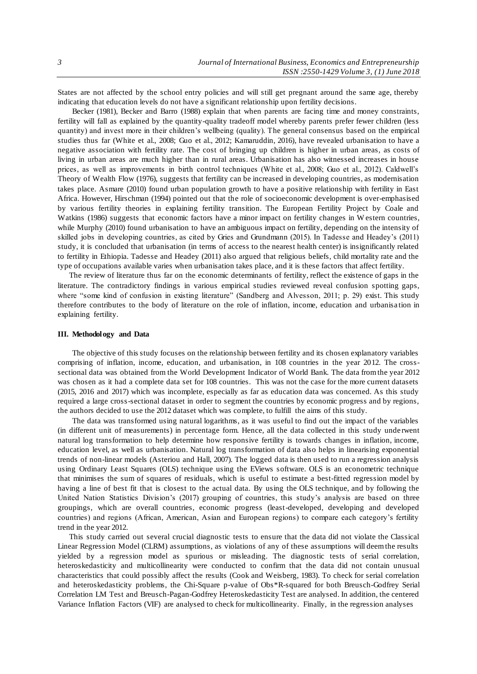States are not affected by the school entry policies and will still get pregnant around the same age, thereby indicating that education levels do not have a significant relationship upon fertility decisions.

Becker (1981), Becker and Barro (1988) explain that when parents are facing time and money constraints, fertility will fall as explained by the quantity-quality tradeoff model whereby parents prefer fewer children (less quantity) and invest more in their children's wellbeing (quality). The general consensus based on the empirical studies thus far (White et al., 2008; Guo et al., 2012; Kamaruddin, 2016), have revealed urbanisation to have a negative association with fertility rate. The cost of bringing up children is higher in urban areas, as costs of living in urban areas are much higher than in rural areas. Urbanisation has also witnessed increases in house prices, as well as improvements in birth control techniques (White et al., 2008; Guo et al., 2012). Caldwell's Theory of Wealth Flow (1976), suggests that fertility can be increased in developing countries, as modernisation takes place. Asmare (2010) found urban population growth to have a positive relationship with fertility in East Africa. However, Hirschman (1994) pointed out that the role of socioeconomic development is over-emphasised by various fertility theories in explaining fertility transition. The European Fertility Project by Coale and Watkins (1986) suggests that economic factors have a minor impact on fertility changes in W estern countries, while Murphy (2010) found urbanisation to have an ambiguous impact on fertility, depending on the intensity of skilled jobs in developing countries, as cited by Gries and Grundmann (2015). In Tadesse and Headey's (2011) study, it is concluded that urbanisation (in terms of access to the nearest health center) is insignificantly related to fertility in Ethiopia. Tadesse and Headey (2011) also argued that religious beliefs, child mortality rate and the type of occupations available varies when urbanisation takes place, and it is these factors that affect fertility.

The review of literature thus far on the economic determinants of fertility, reflect the existence of gaps in the literature. The contradictory findings in various empirical studies reviewed reveal confusion spotting gaps, where "some kind of confusion in existing literature" (Sandberg and Alvesson, 2011; p. 29) exist. This study therefore contributes to the body of literature on the role of inflation, income, education and urbanisa tion in explaining fertility.

## **III. Methodology and Data**

The objective of this study focuses on the relationship between fertility and its chosen explanatory variables comprising of inflation, income, education, and urbanisation, in 108 countries in the year 2012. The crosssectional data was obtained from the World Development Indicator of World Bank. The data from the year 2012 was chosen as it had a complete data set for 108 countries. This was not the case for the more current datasets (2015, 2016 and 2017) which was incomplete, especially as far as education data was concerned. As this study required a large cross-sectional dataset in order to segment the countries by economic progress and by regions, the authors decided to use the 2012 dataset which was complete, to fulfill the aims of this study.

The data was transformed using natural logarithms, as it was useful to find out the impact of the variables (in different unit of measurements) in percentage form. Hence, all the data collected in this study unde rwent natural log transformation to help determine how responsive fertility is towards changes in inflation, income, education level, as well as urbanisation. Natural log transformation of data also helps in linearising exponential trends of non-linear models (Asteriou and Hall, 2007). The logged data is then used to run a regression analysis using Ordinary Least Squares (OLS) technique using the EViews software. OLS is an econometric technique that minimises the sum of squares of residuals, which is useful to estimate a best-fitted regression model by having a line of best fit that is closest to the actual data. By using the OLS technique, and by following the United Nation Statistics Division's (2017) grouping of countries, this study's analysis are based on three groupings, which are overall countries, economic progress (least-developed, developing and developed countries) and regions (African, American, Asian and European regions) to compare each category's fertility trend in the year 2012.

This study carried out several crucial diagnostic tests to ensure that the data did not violate the Classical Linear Regression Model (CLRM) assumptions, as violations of any of these assumptions will deem the results yielded by a regression model as spurious or misleading. The diagnostic tests of serial correlation, heteroskedasticity and multicollinearity were conducted to confirm that the data did not contain unusual characteristics that could possibly affect the results (Cook and Weisberg, 1983). To check for serial correlation and heteroskedasticity problems, the Chi-Square p-value of Obs\*R-squared for both Breusch-Godfrey Serial Correlation LM Test and Breusch-Pagan-Godfrey Heteroskedasticity Test are analysed. In addition, the centered Variance Inflation Factors (VIF) are analysed to check for multicollinearity. Finally, in the regression analyses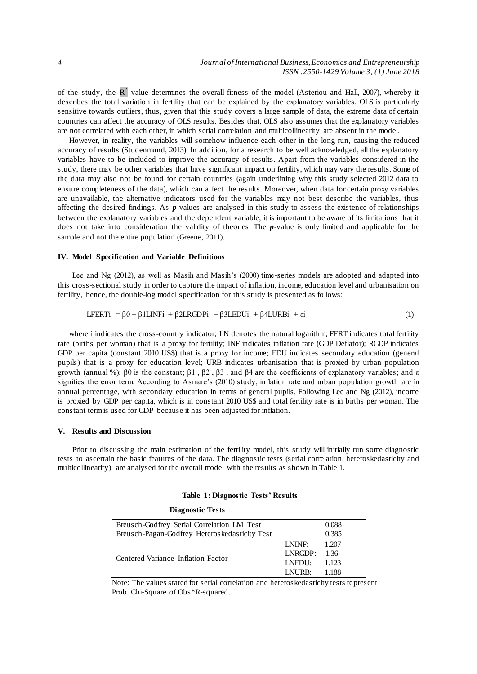of the study, the  $\mathbb{R}^2$  value determines the overall fitness of the model (Asteriou and Hall, 2007), whereby it describes the total variation in fertility that can be explained by the explanatory variables. OLS is particularly sensitive towards outliers, thus, given that this study covers a large sample of data, the extreme data of certain countries can affect the accuracy of OLS results. Besides that, OLS also assumes that the explanatory variables are not correlated with each other, in which serial correlation and multicollinearity are absent in the model.

However, in reality, the variables will somehow influence each other in the long run, causing the reduced accuracy of results (Studenmund, 2013). In addition, for a research to be well acknowledged, all the explanatory variables have to be included to improve the accuracy of results. Apart from the variables considered in the study, there may be other variables that have significant impact on fertility, which may vary the results. Some of the data may also not be found for certain countries (again underlining why this study selected 2012 data to ensure completeness of the data), which can affect the results. Moreover, when data for certain proxy variables are unavailable, the alternative indicators used for the variables may not best describe the variables, thus affecting the desired findings. As *p*-values are analysed in this study to assess the existence of relationships between the explanatory variables and the dependent variable, it is important to be aware of its limitations that it does not take into consideration the validity of theories. The *p*-value is only limited and applicable for the sample and not the entire population (Greene, 2011).

### **IV. Model Specification and Variable Definitions**

Lee and Ng (2012), as well as Masih and Masih's (2000) time-series models are adopted and adapted into this cross-sectional study in order to capture the impact of inflation, income, education level and urbanisation on fertility, hence, the double-log model specification for this study is presented as follows:

**LERTi** = 
$$
β0 + β1LINFi + β2LRGDPi + β3LEDUi + β4LURBi + εi
$$
 (1)

where i indicates the cross-country indicator; LN denotes the natural logarithm; FERT indicates total fertility rate (births per woman) that is a proxy for fertility; INF indicates inflation rate (GDP Deflator); RGDP indicates GDP per capita (constant 2010 US\$) that is a proxy for income; EDU indicates secondary education (general pupils) that is a proxy for education level; URB indicates urbanisation that is proxied by urban population growth (annual %); β0 is the constant;  $β1$ ,  $β2$ ,  $β3$ , and  $β4$  are the coefficients of explanatory variables; and ε signifies the error term. According to Asmare's (2010) study, inflation rate and urban population growth are in annual percentage, with secondary education in terms of general pupils. Following Lee and Ng (2012), income is proxied by GDP per capita, which is in constant 2010 US\$ and total fertility rate is in births per woman. The constant term is used for GDP because it has been adjusted for inflation.

#### **V. Results and Discussion**

Prior to discussing the main estimation of the fertility model, this study will initially run some diagnostic tests to ascertain the basic features of the data. The diagnostic tests (serial correlation, heteroskedasticity and multicollinearity) are analysed for the overall model with the results as shown in Table 1.

| Table 1: Diagnostic Tests' Results            |         |       |  |
|-----------------------------------------------|---------|-------|--|
| <b>Diagnostic Tests</b>                       |         |       |  |
| Breusch-Godfrey Serial Correlation LM Test    |         | 0.088 |  |
| Breusch-Pagan-Godfrey Heteroskedasticity Test |         | 0.385 |  |
| Centered Variance Inflation Factor            | LNINF:  | 1.207 |  |
|                                               | LNRGDP: | 1.36  |  |
|                                               | LNEDU:  | 1.123 |  |
|                                               | LNURB:  | 1.188 |  |

Note: The values stated for serial correlation and heteroskedasticity tests represent Prob. Chi-Square of Obs\*R-squared.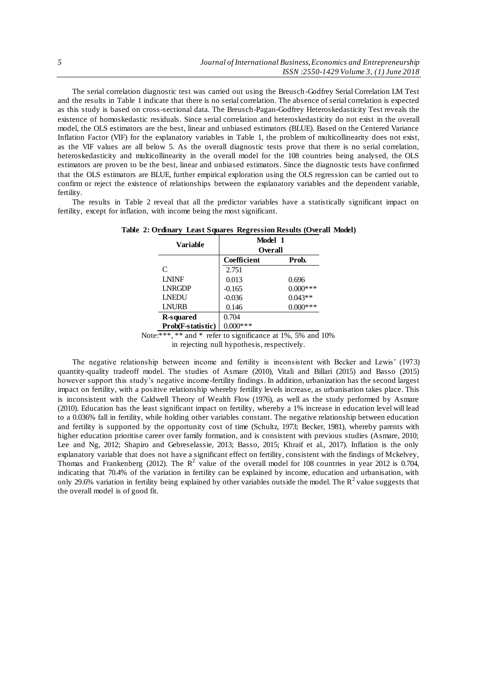The serial correlation diagnostic test was carried out using the Breusch-Godfrey Serial Correlation LM Test and the results in Table 1 indicate that there is no serial correlation. The absence of serial correlation is expected as this study is based on cross-sectional data. The Breusch-Pagan-Godfrey Heteroskedasticity Test reveals the existence of homoskedastic residuals. Since serial correlation and heteroskedasticity do not exist in the overall model, the OLS estimators are the best, linear and unbiased estimators (BLUE). Based on the Centered Variance Inflation Factor (VIF) for the explanatory variables in Table 1, the problem of multicollinearity does not exist, as the VIF values are all below 5. As the overall diagnostic tests prove that there is no serial correlation, heteroskedasticity and multicollinearity in the overall model for the 108 countries being analysed, the OLS estimators are proven to be the best, linear and unbiased estimators. Since the diagnostic tests have confirmed that the OLS estimators are BLUE, further empirical exploration using the OLS regression can be carried out to confirm or reject the existence of relationships between the explanatory variables and the dependent variable, fertility.

The results in Table 2 reveal that all the predictor variables have a statistically significant impact on fertility, except for inflation, with income being the most significant.

| Variable          | Model 1                |             |
|-------------------|------------------------|-------------|
|                   | Overall<br>Coefficient | Prob.       |
| C                 | 2.751                  |             |
| <b>LNINF</b>      | 0.013                  | 0.696       |
| <b>LNRGDP</b>     | $-0.165$               | $0.000***$  |
| <b>LNEDU</b>      | $-0.036$               | $0.043**$   |
| <b>LNURB</b>      | 0.146                  | $0.000$ *** |
| <b>R-squared</b>  | 0.704                  |             |
| Prob(F-statistic) | $0.000$ ***            |             |

**Table 2: Ordinary Least Squares Regression Results (Overall Model)**

Note:<sup>\*\*\*</sup>, \*\* and \* refer to significance at 1%, 5% and 10%

in rejecting null hypothesis, respectively.

The negative relationship between income and fertility is inconsistent with Becker and Lewis' (1973) quantity-quality tradeoff model. The studies of Asmare (2010), Vitali and Billari (2015) and Basso (2015) however support this study's negative income-fertility findings. In addition, urbanization has the second largest impact on fertility, with a positive relationship whereby fertility levels increase, as urbanisation takes place. This is inconsistent with the Caldwell Theory of Wealth Flow (1976), as well as the study performed by Asmare (2010). Education has the least significant impact on fertility, whereby a 1% increase in education level will lead to a 0.036% fall in fertility, while holding other variables constant. The negative relationship between education and fertility is supported by the opportunity cost of time (Schultz, 1973; Becker, 1981), whereby parents with higher education prioritise career over family formation, and is consistent with previous studies (Asmare, 2010; Lee and Ng, 2012; Shapiro and Gebreselassie, 2013; Basso, 2015; Khraif et al., 2017). Inflation is the only explanatory variable that does not have a significant effect on fertility, consistent with the findings of Mckelvey, Thomas and Frankenberg (2012). The  $R^2$  value of the overall model for 108 countries in year 2012 is 0.704, indicating that 70.4% of the variation in fertility can be explained by income, education and urbanisation, with only 29.6% variation in fertility being explained by other variables outside the model. The  $R^2$  value suggests that the overall model is of good fit.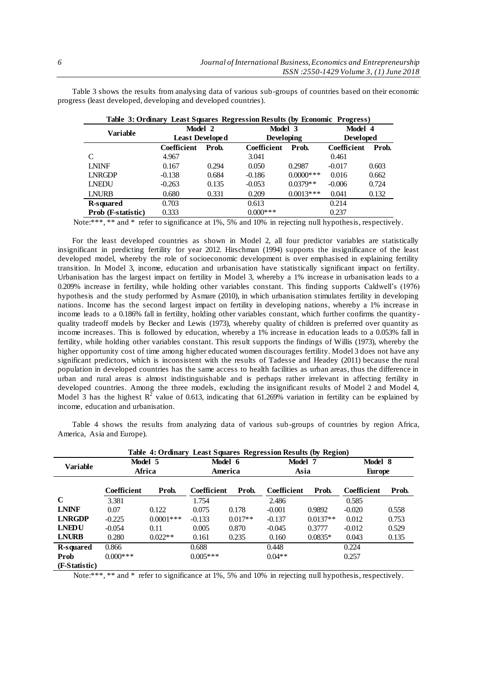| Table 3: Ordinary Least Squares Regression Results (by Economic Progress) |                        |       |                    |              |                  |       |  |
|---------------------------------------------------------------------------|------------------------|-------|--------------------|--------------|------------------|-------|--|
| Variable                                                                  | Model 2                |       | Model 3            |              | Model 4          |       |  |
|                                                                           | <b>Least Developed</b> |       | <b>Developing</b>  |              | <b>Developed</b> |       |  |
|                                                                           | <b>Coefficient</b>     | Prob. | <b>Coefficient</b> | Prob.        | Coefficient      | Prob. |  |
| C                                                                         | 4.967                  |       | 3.041              |              | 0.461            |       |  |
| <b>LNINF</b>                                                              | 0.167                  | 0.294 | 0.050              | 0.2987       | $-0.017$         | 0.603 |  |
| <b>LNRGDP</b>                                                             | $-0.138$               | 0.684 | $-0.186$           | $0.0000$ *** | 0.016            | 0.662 |  |
| <b>LNEDU</b>                                                              | $-0.263$               | 0.135 | $-0.053$           | $0.0379**$   | $-0.006$         | 0.724 |  |
| <b>LNURB</b>                                                              | 0.680                  | 0.331 | 0.209              | $0.0013***$  | 0.041            | 0.132 |  |
| <b>R-squared</b>                                                          | 0.703                  |       | 0.613              |              | 0.214            |       |  |
| Prob (F-statistic)                                                        | 0.333                  |       | $0.000***$         |              | 0.237            |       |  |

Table 3 shows the results from analysing data of various sub-groups of countries based on their economic progress (least developed, developing and developed countries).

Note:\*\*\*, \*\* and \* refer to significance at 1%, 5% and 10% in rejecting null hypothesis, respectively.

For the least developed countries as shown in Model 2, all four predictor variables are statistically insignificant in predicting fertility for year 2012. Hirschman (1994) supports the insignificance of the least developed model, whereby the role of socioeconomic development is over emphasised in explaining fertility transition. In Model 3, income, education and urbanisation have statistically significant impact on fertility. Urbanisation has the largest impact on fertility in Model 3, whereby a 1% increase in urbanisation leads to a 0.209% increase in fertility, while holding other variables constant. This finding supports Caldwell's (1976) hypothesis and the study performed by Asmare (2010), in which urbanisation stimulates fertility in developing nations. Income has the second largest impact on fertility in developing nations, whereby a 1% increase in income leads to a 0.186% fall in fertility, holding other variables constant, which further confirms the quantity quality tradeoff models by Becker and Lewis (1973), whereby quality of children is preferred over quantity as income increases. This is followed by education, whereby a 1% increase in education leads to a 0.053% fall in fertility, while holding other variables constant. This result supports the findings of Willis (1973), whereby the higher opportunity cost of time among higher educated women discourages fertility. Model 3 does not have any significant predictors, which is inconsistent with the results of Tadesse and Headey (2011) because the rural population in developed countries has the same access to health facilities as urban areas, thus the difference in urban and rural areas is almost indistinguishable and is perhaps rather irrelevant in affecting fertility in developed countries. Among the three models, excluding the insignificant results of Model 2 and Model 4, Model 3 has the highest  $R^2$  value of 0.613, indicating that 61.269% variation in fertility can be explained by income, education and urbanisation.

Table 4 shows the results from analyzing data of various sub-groups of countries by region Africa, America, Asia and Europe).

| Table 4: Ordinary Least Squares Regression Results (by Region) |             |              |             |           |             |            |               |       |
|----------------------------------------------------------------|-------------|--------------|-------------|-----------|-------------|------------|---------------|-------|
| <b>Variable</b>                                                | Model 5     |              | Model 6     |           | Model 7     |            | Model 8       |       |
|                                                                | Africa      |              | America     |           | Asia        |            | <b>Europe</b> |       |
|                                                                | Coefficient | Prob.        | Coefficient | Prob.     | Coefficient | Prob.      | Coefficient   | Prob. |
| C                                                              | 3.381       |              | 1.754       |           | 2.486       |            | 0.585         |       |
| <b>LNINF</b>                                                   | 0.07        | 0.122        | 0.075       | 0.178     | $-0.001$    | 0.9892     | $-0.020$      | 0.558 |
| <b>LNRGDP</b>                                                  | $-0.225$    | $0.0001$ *** | $-0.133$    | $0.017**$ | $-0.137$    | $0.0137**$ | $-0.012$      | 0.753 |
| <b>LNEDU</b>                                                   | $-0.054$    | 0.11         | 0.005       | 0.870     | $-0.045$    | 0.3777     | $-0.012$      | 0.529 |
| <b>LNURB</b>                                                   | 0.280       | $0.022**$    | 0.161       | 0.235     | 0.160       | $0.0835*$  | 0.043         | 0.135 |
| <b>R-squared</b>                                               | 0.866       |              | 0.688       |           | 0.448       |            | 0.224         |       |
| Prob                                                           | $0.000***$  |              | $0.005***$  |           | $0.04**$    |            | 0.257         |       |
| (F-Statistic)                                                  |             |              |             |           |             |            |               |       |

Note:\*\*\*,\*\* and \* refer to significance at 1%, 5% and 10% in rejecting null hypothesis, respectively.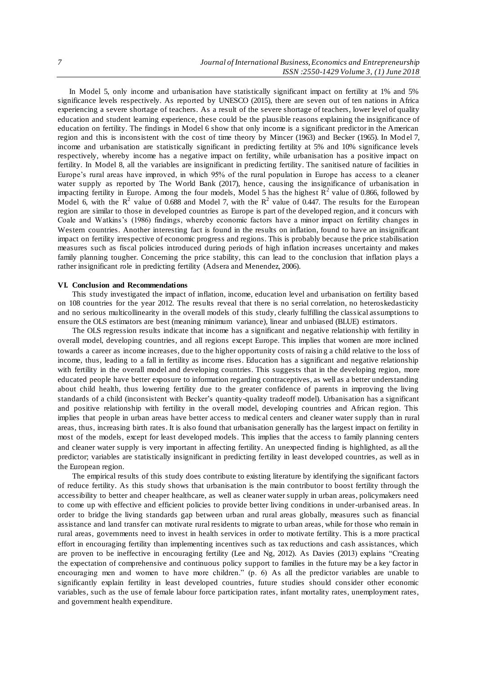In Model 5, only income and urbanisation have statistically significant impact on fertility at 1% and 5% significance levels respectively. As reported by UNESCO (2015), there are seven out of ten nations in Africa experiencing a severe shortage of teachers. As a result of the severe shortage of teachers, lower level of quality education and student learning experience, these could be the plausible reasons explaining the insignificance of education on fertility. The findings in Model 6 show that only income is a significant predictor in the American region and this is inconsistent with the cost of time theory by Mincer (1963) and Becker (1965). In Model 7, income and urbanisation are statistically significant in predicting fertility at 5% and 10% significance levels respectively, whereby income has a negative impact on fertility, while urbanisation has a positive impact on fertility. In Model 8, all the variables are insignificant in predicting fertility. The sanitised nature of facilities in Europe's rural areas have improved, in which 95% of the rural population in Europe has access to a cleaner water supply as reported by The World Bank (2017), hence, causing the insignificance of urbanisation in impacting fertility in Europe. Among the four models, Model 5 has the highest  $\mathbb{R}^2$  value of 0.866, followed by Model 6, with the  $R^2$  value of 0.688 and Model 7, with the  $R^2$  value of 0.447. The results for the European region are similar to those in developed countries as Europe is part of the developed region, and it concurs with Coale and Watkins's (1986) findings, whereby economic factors have a minor impact on fertility changes in Western countries. Another interesting fact is found in the results on inflation, found to have an insignificant impact on fertility irrespective of economic progress and regions. This is probably because the price stabilisation measures such as fiscal policies introduced during periods of high inflation increases uncertainty and makes family planning tougher. Concerning the price stability, this can lead to the conclusion that inflation plays a rather insignificant role in predicting fertility (Adsera and Menendez, 2006).

#### **VI. Conclusion and Recommendations**

This study investigated the impact of inflation, income, education level and urbanisation on fertility based on 108 countries for the year 2012. The results reveal that there is no serial correlation, no heteroskedasticity and no serious multicollinearity in the overall models of this study, clearly fulfilling the classical assumptions to ensure the OLS estimators are best (meaning minimum variance), linear and unbiased (BLUE) estimators.

The OLS regression results indicate that income has a significant and negative relationship with fertility in overall model, developing countries, and all regions except Europe. This implies that women are more inclined towards a career as income increases, due to the higher opportunity costs of raisin g a child relative to the loss of income, thus, leading to a fall in fertility as income rises. Education has a significant and negative relationship with fertility in the overall model and developing countries. This suggests that in the developing region, more educated people have better exposure to information regarding contraceptives, as well as a better understanding about child health, thus lowering fertility due to the greater confidence of parents in improving the living standards of a child (inconsistent with Becker's quantity-quality tradeoff model). Urbanisation has a significant and positive relationship with fertility in the overall model, developing countries and African region. This implies that people in urban areas have better access to medical centers and cleaner water supply than in rural areas, thus, increasing birth rates. It is also found that urbanisation generally has the largest impact on fertility in most of the models, except for least developed models. This implies that the access to family planning centers and cleaner water supply is very important in affecting fertility. An unexpected finding is highlighted, as all the predictor; variables are statistically insignificant in predicting fertility in least developed countries, as well as in the European region.

The empirical results of this study does contribute to existing literature by identifying the significant factors of reduce fertility. As this study shows that urbanisation is the main contributor to boost fertility through the accessibility to better and cheaper healthcare, as well as cleaner water supply in urban areas, policymakers need to come up with effective and efficient policies to provide better living conditions in under-urbanised areas. In order to bridge the living standards gap between urban and rural areas globally, measures such as financial assistance and land transfer can motivate rural residents to migrate to urban areas, while for those who remain in rural areas, governments need to invest in health services in order to motivate fertility. This is a more practical effort in encouraging fertility than implementing incentives such as tax reductions and cash assistances, which are proven to be ineffective in encouraging fertility (Lee and Ng, 2012). As Davies (2013) explains "Creating the expectation of comprehensive and continuous policy support to families in the future may be a key factor in encouraging men and women to have more children." (p. 6) As all the predictor variables are unable to significantly explain fertility in least developed countries, future studies should consider other economic variables, such as the use of female labour force participation rates, infant mortality rates, unemployment rates, and government health expenditure.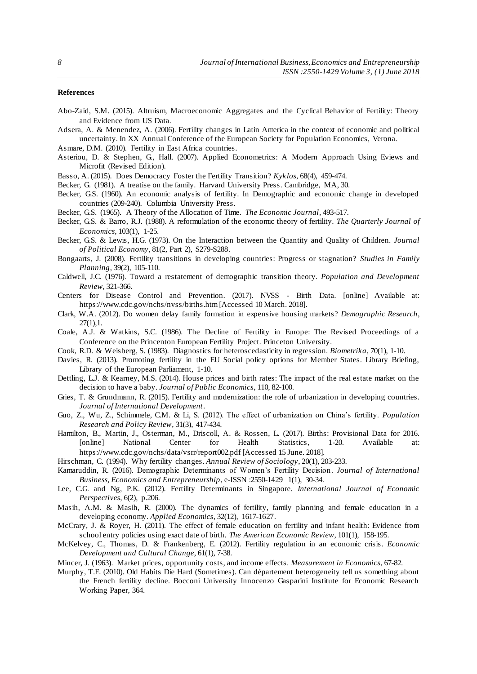## **References**

- Abo-Zaid, S.M. (2015). Altruism, Macroeconomic Aggregates and the Cyclical Behavior of Fertility: Theory and Evidence from US Data.
- Adsera, A. & Menendez, A. (2006). Fertility changes in Latin America in the context of economic and political uncertainty. In XX Annual Conference of the European Society for Population Economics, Verona.
- Asmare, D.M. (2010). Fertility in East Africa countries.
- Asteriou, D. & Stephen, G., Hall. (2007). Applied Econometrics: A Modern Approach Using Eviews and Microfit (Revised Edition).
- Basso, A. (2015). Does Democracy Foster the Fertility Transition? *Kyklos*, 68(4), 459-474.
- Becker, G. (1981). A treatise on the family. Harvard University Press. Cambridge, MA, 30.
- Becker, G.S. (1960). An economic analysis of fertility. In Demographic and economic change in developed countries (209-240). Columbia University Press.
- Becker, G.S. (1965). A Theory of the Allocation of Time. *The Economic Journal*, 493-517.
- Becker, G.S. & Barro, R.J. (1988). A reformulation of the economic theory of fertility. *The Quarterly Journal of Economics*, 103(1), 1-25.
- Becker, G.S. & Lewis, H.G. (1973). On the Interaction between the Quantity and Quality of Children. *Journal of Political Economy*, 81(2, Part 2), S279-S288.
- Bongaarts, J. (2008). Fertility transitions in developing countries: Progress or stagnation? *Studies in Family Planning*, 39(2), 105-110.
- Caldwell, J.C. (1976). Toward a restatement of demographic transition theory. *Population and Development Review*, 321-366.
- Centers for Disease Control and Prevention. (2017). NVSS Birth Data. [online] Available at: https://www.cdc.gov/nchs/nvss/births.htm [Accessed 10 March. 2018].
- Clark, W.A. (2012). Do women delay family formation in expensive housing markets? *Demographic Research*,  $27(1),1.$
- Coale, A.J. & Watkins, S.C. (1986). The Decline of Fertility in Europe: The Revised Proceedings of a Conference on the Princenton European Fertility Project. Princeton University.
- Cook, R.D. & Weisberg, S. (1983). Diagnostics for heteroscedasticity in regression. *Biometrika*, 70(1), 1-10.
- Davies, R. (2013). Promoting fertility in the EU Social policy options for Member States. Library Briefing, Library of the European Parliament, 1-10.
- Dettling, L.J. & Kearney, M.S. (2014). House prices and birth rates: The impact of the real estate market on the decision to have a baby. *Journal of Public Economics*, 110, 82-100.
- Gries, T. & Grundmann, R. (2015). Fertility and modernization: the role of urbanization in developing countries. *Journal of International Development*.
- Guo, Z., Wu, Z., Schimmele, C.M. & Li, S. (2012). The effect of urbanization on China's fertility. *Population Research and Policy Review*, 31(3), 417-434.
- Hamilton, B., Martin, J., Osterman, M., Driscoll, A. & Rossen, L. (2017). Births: Provisional Data for 2016. [online] National Center for Health Statistics, 1-20. Available at: https://www.cdc.gov/nchs/data/vsrr/report002.pdf [Accessed 15 June. 2018].
- Hirschman, C. (1994). Why fertility changes. *Annual Review of Sociology*, 20(1), 203-233.
- Kamaruddin, R. (2016). Demographic Determinants of Women's Fertility Decision. *Journal of International Business, Economics and Entrepreneurship*, e-ISSN :2550-1429 1(1), 30-34.
- Lee, C.G. and Ng, P.K. (2012). Fertility Determinants in Singapore. *International Journal of Economic Perspectives*, 6(2), p.206.
- Masih, A.M. & Masih, R. (2000). The dynamics of fertility, family planning and female education in a developing economy. *Applied Economics*, 32(12), 1617-1627.
- McCrary, J. & Royer, H. (2011). The effect of female education on fertility and infant health: Evidence from school entry policies using exact date of birth. *The American Economic Review*, 101(1), 158-195.
- McKelvey, C., Thomas, D. & Frankenberg, E. (2012). Fertility regulation in an economic crisis. *Economic Development and Cultural Change*, 61(1), 7-38.
- Mincer, J. (1963). Market prices, opportunity costs, and income effects. *Measurement in Economics*, 67-82.
- Murphy, T.E. (2010). Old Habits Die Hard (Sometimes). Can département heterogeneity tell us something about the French fertility decline. Bocconi University Innocenzo Gasparini Institute for Economic Research Working Paper, 364.